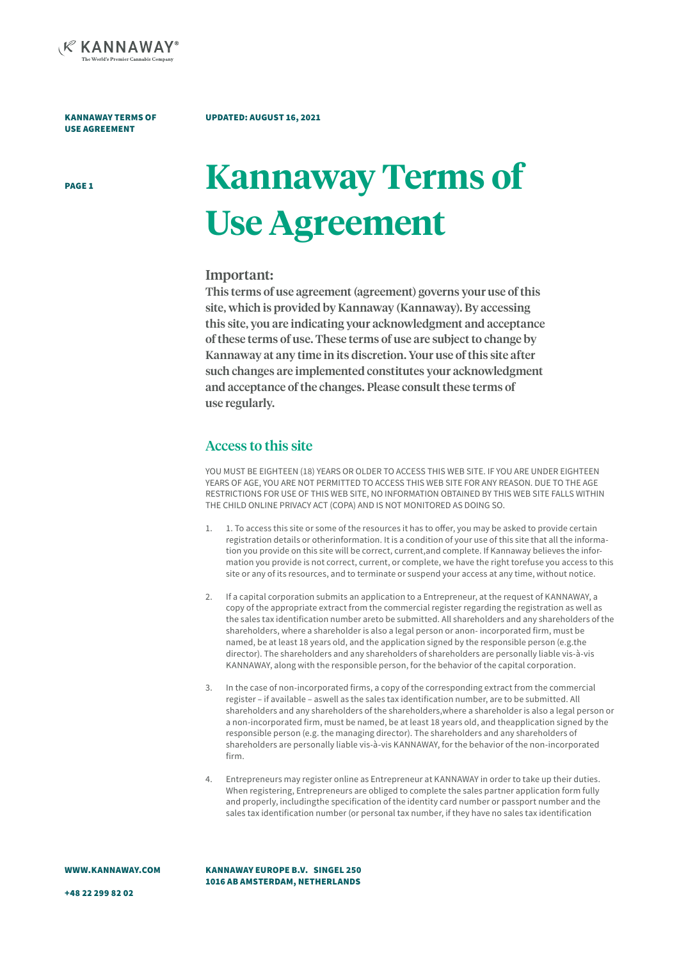

#### UPDATED: AUGUST 16, 2021

# PAGE1 **Kannaway Terms of Use Agreement**

#### Important:

This terms of use agreement (agreement) governs your use of this site, which is provided by Kannaway (Kannaway). By accessing this site, you are indicating your acknowledgment and acceptance of these terms of use. These terms of use are subject to change by Kannaway at any time in its discretion. Your use of this site after such changes are implemented constitutes your acknowledgment and acceptance of the changes. Please consult these terms of use regularly.

#### Access to this site

YOU MUST BE EIGHTEEN (18) YEARS OR OLDER TO ACCESS THIS WEB SITE. IF YOU ARE UNDER EIGHTEEN YEARS OF AGE, YOU ARE NOT PERMITTED TO ACCESS THIS WEB SITE FOR ANY REASON. DUE TO THE AGE RESTRICTIONS FOR USE OF THIS WEB SITE, NO INFORMATION OBTAINED BY THIS WEB SITE FALLS WITHIN THE CHILD ONLINE PRIVACY ACT (COPA) AND IS NOT MONITORED AS DOING SO.

- 1. 1. To access this site or some of the resources it has to offer, you may be asked to provide certain registration details or otherinformation. It is a condition of your use of this site that all the information you provide on this site will be correct, current,and complete. If Kannaway believes the information you provide is not correct, current, or complete, we have the right torefuse you access to this site or any of its resources, and to terminate or suspend your access at any time, without notice.
- 2. If a capital corporation submits an application to a Entrepreneur, at the request of KANNAWAY, a copy of the appropriate extract from the commercial register regarding the registration as well as the sales tax identification number areto be submitted. All shareholders and any shareholders of the shareholders, where a shareholder is also a legal person or anon- incorporated firm, must be named, be at least 18 years old, and the application signed by the responsible person (e.g.the director). The shareholders and any shareholders of shareholders are personally liable vis-à-vis KANNAWAY, along with the responsible person, for the behavior of the capital corporation.
- In the case of non-incorporated firms, a copy of the corresponding extract from the commercial register – if available – aswell as the sales tax identification number, are to be submitted. All shareholders and any shareholders of the shareholders,where a shareholder is also a legal person or a non-incorporated firm, must be named, be at least 18 years old, and theapplication signed by the responsible person (e.g. the managing director). The shareholders and any shareholders of shareholders are personally liable vis-à-vis KANNAWAY, for the behavior of the non-incorporated firm.
- 4. Entrepreneurs may register online as Entrepreneur at KANNAWAY in order to take up their duties. When registering, Entrepreneurs are obliged to complete the sales partner application form fully and properly, includingthe specification of the identity card number or passport number and the sales tax identification number (or personal tax number, if they have no sales tax identification

KANNAWAY EUROPE B.V. SINGEL 250 1016 AB AMSTERDAM, NETHERLANDS

+48 22 299 82 02

WWW.KANNAWAY.COM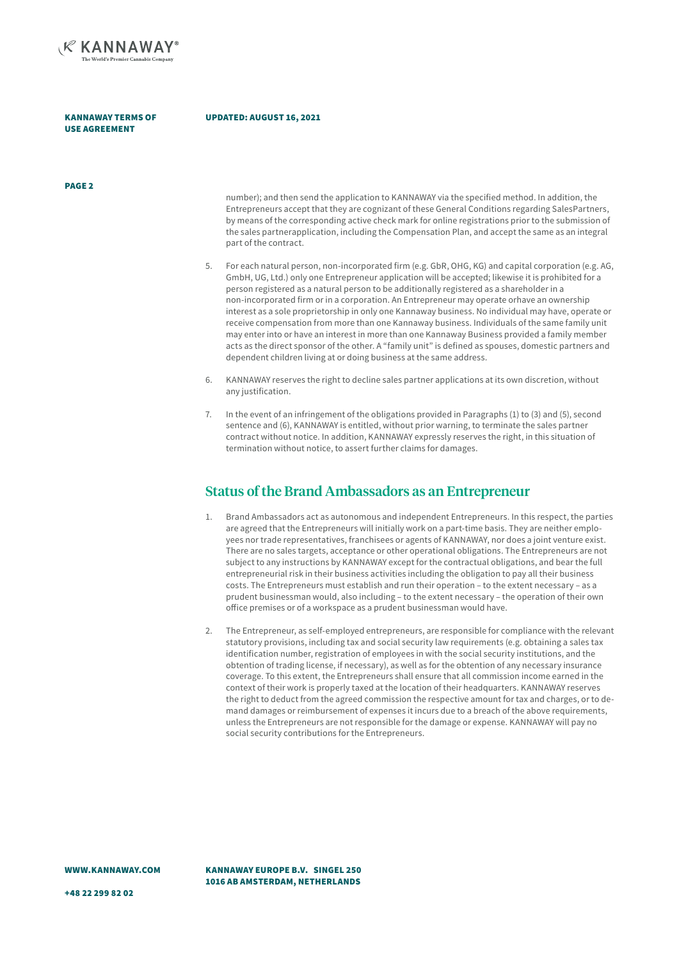

#### UPDATED: AUGUST 16, 2021

PAGE 2

number); and then send the application to KANNAWAY via the specified method. In addition, the Entrepreneurs accept that they are cognizant of these General Conditions regarding SalesPartners, by means of the corresponding active check mark for online registrations prior to the submission of the sales partnerapplication, including the Compensation Plan, and accept the same as an integral part of the contract.

- 5. For each natural person, non-incorporated firm (e.g. GbR, OHG, KG) and capital corporation (e.g. AG, GmbH, UG, Ltd.) only one Entrepreneur application will be accepted; likewise it is prohibited for a person registered as a natural person to be additionally registered as a shareholder in a non-incorporated firm or in a corporation. An Entrepreneur may operate orhave an ownership interest as a sole proprietorship in only one Kannaway business. No individual may have, operate or receive compensation from more than one Kannaway business. Individuals of the same family unit may enter into or have an interest in more than one Kannaway Business provided a family member acts as the direct sponsor of the other. A "family unit" is defined as spouses, domestic partners and dependent children living at or doing business at the same address.
- 6. KANNAWAY reserves the right to decline sales partner applications at its own discretion, without any justification.
- 7. In the event of an infringement of the obligations provided in Paragraphs (1) to (3) and (5), second sentence and (6), KANNAWAY is entitled, without prior warning, to terminate the sales partner contract without notice. In addition, KANNAWAY expressly reserves the right, in this situation of termination without notice, to assert further claims for damages.

#### Status of the Brand Ambassadors as an Entrepreneur

- 1. Brand Ambassadors act as autonomous and independent Entrepreneurs. In this respect, the parties are agreed that the Entrepreneurs will initially work on a part-time basis. They are neither employees nor trade representatives, franchisees or agents of KANNAWAY, nor does a joint venture exist. There are no sales targets, acceptance or other operational obligations. The Entrepreneurs are not subject to any instructions by KANNAWAY except for the contractual obligations, and bear the full entrepreneurial risk in their business activities including the obligation to pay all their business costs. The Entrepreneurs must establish and run their operation – to the extent necessary – as a prudent businessman would, also including – to the extent necessary – the operation of their own office premises or of a workspace as a prudent businessman would have.
- 2. The Entrepreneur, as self-employed entrepreneurs, are responsible for compliance with the relevant statutory provisions, including tax and social security law requirements (e.g. obtaining a sales tax identification number, registration of employees in with the social security institutions, and the obtention of trading license, if necessary), as well as for the obtention of any necessary insurance coverage. To this extent, the Entrepreneurs shall ensure that all commission income earned in the context of their work is properly taxed at the location of their headquarters. KANNAWAY reserves the right to deduct from the agreed commission the respective amount for tax and charges, or to demand damages or reimbursement of expenses it incurs due to a breach of the above requirements, unless the Entrepreneurs are not responsible for the damage or expense. KANNAWAY will pay no social security contributions for the Entrepreneurs.

KANNAWAY EUROPE B.V. SINGEL 250 1016 AB AMSTERDAM, NETHERLANDS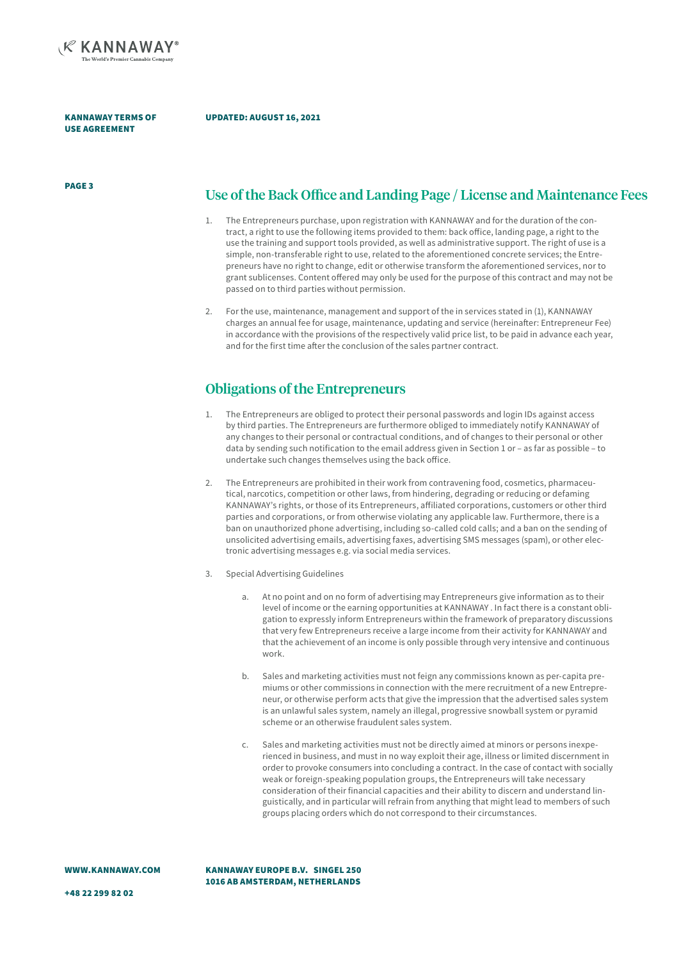

#### UPDATED: AUGUST 16, 2021

## PAGE 3 Use of the Back Office and Landing Page / License and Maintenance Fees

- 1. The Entrepreneurs purchase, upon registration with KANNAWAY and for the duration of the contract, a right to use the following items provided to them: back office, landing page, a right to the use the training and support tools provided, as well as administrative support. The right of use is a simple, non-transferable right to use, related to the aforementioned concrete services; the Entrepreneurs have no right to change, edit or otherwise transform the aforementioned services, nor to grant sublicenses. Content offered may only be used for the purpose of this contract and may not be passed on to third parties without permission.
- 2. For the use, maintenance, management and support of the in services stated in (1), KANNAWAY charges an annual fee for usage, maintenance, updating and service (hereinafter: Entrepreneur Fee) in accordance with the provisions of the respectively valid price list, to be paid in advance each year, and for the first time after the conclusion of the sales partner contract.

#### Obligations of the Entrepreneurs

- 1. The Entrepreneurs are obliged to protect their personal passwords and login IDs against access by third parties. The Entrepreneurs are furthermore obliged to immediately notify KANNAWAY of any changes to their personal or contractual conditions, and of changes to their personal or other data by sending such notification to the email address given in Section 1 or – as far as possible – to undertake such changes themselves using the back office.
- 2. The Entrepreneurs are prohibited in their work from contravening food, cosmetics, pharmaceutical, narcotics, competition or other laws, from hindering, degrading or reducing or defaming KANNAWAY's rights, or those of its Entrepreneurs, affiliated corporations, customers or other third parties and corporations, or from otherwise violating any applicable law. Furthermore, there is a ban on unauthorized phone advertising, including so-called cold calls; and a ban on the sending of unsolicited advertising emails, advertising faxes, advertising SMS messages (spam), or other electronic advertising messages e.g. via social media services.
- 3. Special Advertising Guidelines
	- a. At no point and on no form of advertising may Entrepreneurs give information as to their level of income or the earning opportunities at KANNAWAY . In fact there is a constant obligation to expressly inform Entrepreneurs within the framework of preparatory discussions that very few Entrepreneurs receive a large income from their activity for KANNAWAY and that the achievement of an income is only possible through very intensive and continuous work.
	- b. Sales and marketing activities must not feign any commissions known as per-capita premiums or other commissions in connection with the mere recruitment of a new Entrepreneur, or otherwise perform acts that give the impression that the advertised sales system is an unlawful sales system, namely an illegal, progressive snowball system or pyramid scheme or an otherwise fraudulent sales system.
	- c. Sales and marketing activities must not be directly aimed at minors or persons inexperienced in business, and must in no way exploit their age, illness or limited discernment in order to provoke consumers into concluding a contract. In the case of contact with socially weak or foreign-speaking population groups, the Entrepreneurs will take necessary consideration of their financial capacities and their ability to discern and understand linguistically, and in particular will refrain from anything that might lead to members of such groups placing orders which do not correspond to their circumstances.

WWW.KANNAWAY.COM

KANNAWAY EUROPE B.V. SINGEL 250 1016 AB AMSTERDAM, NETHERLANDS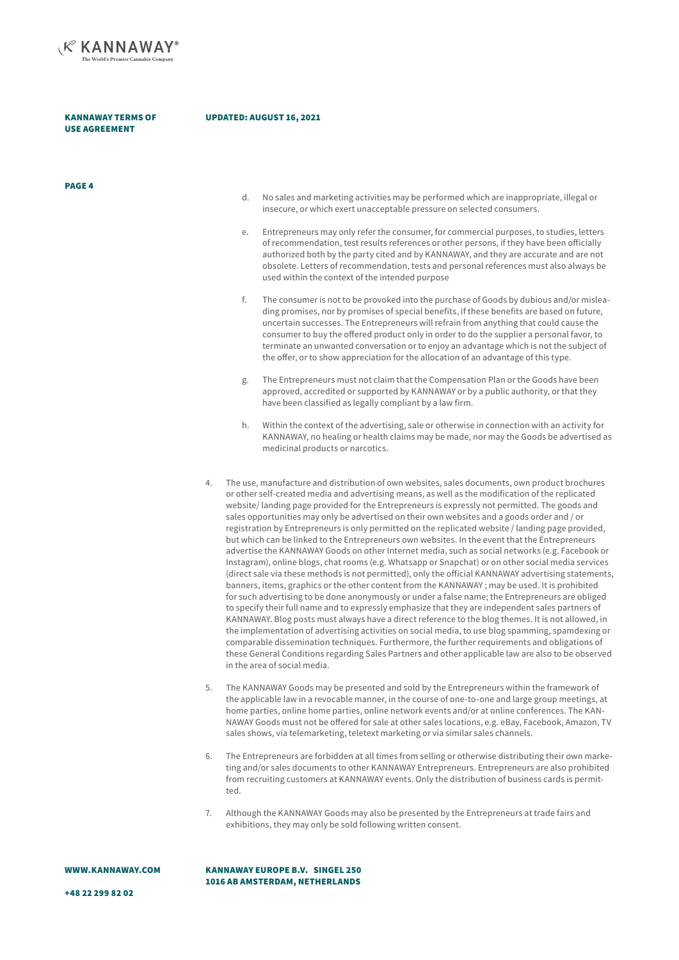

PAGE 4

#### UPDATED: AUGUST 16, 2021

|    | d.                                                                                                                                                                                                                                                                                                                                                                                                                                                                                                                                                                                                                                                                                                                                                                                                                                                                                                                                                                                                                                                                                                                                                                                                                                                                                                                                                                                                                                                                                                                                                                                                                                                                                      | No sales and marketing activities may be performed which are inappropriate, illegal or<br>insecure, or which exert unacceptable pressure on selected consumers.                                                                                                                                                                                                                                                                                                                                                                                                |
|----|-----------------------------------------------------------------------------------------------------------------------------------------------------------------------------------------------------------------------------------------------------------------------------------------------------------------------------------------------------------------------------------------------------------------------------------------------------------------------------------------------------------------------------------------------------------------------------------------------------------------------------------------------------------------------------------------------------------------------------------------------------------------------------------------------------------------------------------------------------------------------------------------------------------------------------------------------------------------------------------------------------------------------------------------------------------------------------------------------------------------------------------------------------------------------------------------------------------------------------------------------------------------------------------------------------------------------------------------------------------------------------------------------------------------------------------------------------------------------------------------------------------------------------------------------------------------------------------------------------------------------------------------------------------------------------------------|----------------------------------------------------------------------------------------------------------------------------------------------------------------------------------------------------------------------------------------------------------------------------------------------------------------------------------------------------------------------------------------------------------------------------------------------------------------------------------------------------------------------------------------------------------------|
|    | е.                                                                                                                                                                                                                                                                                                                                                                                                                                                                                                                                                                                                                                                                                                                                                                                                                                                                                                                                                                                                                                                                                                                                                                                                                                                                                                                                                                                                                                                                                                                                                                                                                                                                                      | Entrepreneurs may only refer the consumer, for commercial purposes, to studies, letters<br>of recommendation, test results references or other persons, if they have been officially<br>authorized both by the party cited and by KANNAWAY, and they are accurate and are not<br>obsolete. Letters of recommendation, tests and personal references must also always be<br>used within the context of the intended purpose                                                                                                                                     |
|    | f.                                                                                                                                                                                                                                                                                                                                                                                                                                                                                                                                                                                                                                                                                                                                                                                                                                                                                                                                                                                                                                                                                                                                                                                                                                                                                                                                                                                                                                                                                                                                                                                                                                                                                      | The consumer is not to be provoked into the purchase of Goods by dubious and/or mislea-<br>ding promises, nor by promises of special benefits, if these benefits are based on future,<br>uncertain successes. The Entrepreneurs will refrain from anything that could cause the<br>consumer to buy the offered product only in order to do the supplier a personal favor, to<br>terminate an unwanted conversation or to enjoy an advantage which is not the subject of<br>the offer, or to show appreciation for the allocation of an advantage of this type. |
|    | g.                                                                                                                                                                                                                                                                                                                                                                                                                                                                                                                                                                                                                                                                                                                                                                                                                                                                                                                                                                                                                                                                                                                                                                                                                                                                                                                                                                                                                                                                                                                                                                                                                                                                                      | The Entrepreneurs must not claim that the Compensation Plan or the Goods have been<br>approved, accredited or supported by KANNAWAY or by a public authority, or that they<br>have been classified as legally compliant by a law firm.                                                                                                                                                                                                                                                                                                                         |
|    | h.                                                                                                                                                                                                                                                                                                                                                                                                                                                                                                                                                                                                                                                                                                                                                                                                                                                                                                                                                                                                                                                                                                                                                                                                                                                                                                                                                                                                                                                                                                                                                                                                                                                                                      | Within the context of the advertising, sale or otherwise in connection with an activity for<br>KANNAWAY, no healing or health claims may be made, nor may the Goods be advertised as<br>medicinal products or narcotics.                                                                                                                                                                                                                                                                                                                                       |
| 4. | The use, manufacture and distribution of own websites, sales documents, own product brochures<br>or other self-created media and advertising means, as well as the modification of the replicated<br>website/landing page provided for the Entrepreneurs is expressly not permitted. The goods and<br>sales opportunities may only be advertised on their own websites and a goods order and / or<br>registration by Entrepreneurs is only permitted on the replicated website / landing page provided,<br>but which can be linked to the Entrepreneurs own websites. In the event that the Entrepreneurs<br>advertise the KANNAWAY Goods on other Internet media, such as social networks (e.g. Facebook or<br>Instagram), online blogs, chat rooms (e.g. Whatsapp or Snapchat) or on other social media services<br>(direct sale via these methods is not permitted), only the official KANNAWAY advertising statements,<br>banners, items, graphics or the other content from the KANNAWAY; may be used. It is prohibited<br>for such advertising to be done anonymously or under a false name; the Entrepreneurs are obliged<br>to specify their full name and to expressly emphasize that they are independent sales partners of<br>KANNAWAY. Blog posts must always have a direct reference to the blog themes. It is not allowed, in<br>the implementation of advertising activities on social media, to use blog spamming, spamdexing or<br>comparable dissemination techniques. Furthermore, the further requirements and obligations of<br>these General Conditions regarding Sales Partners and other applicable law are also to be observed<br>in the area of social media. |                                                                                                                                                                                                                                                                                                                                                                                                                                                                                                                                                                |
| 5. |                                                                                                                                                                                                                                                                                                                                                                                                                                                                                                                                                                                                                                                                                                                                                                                                                                                                                                                                                                                                                                                                                                                                                                                                                                                                                                                                                                                                                                                                                                                                                                                                                                                                                         | The KANNAWAY Goods may be presented and sold by the Entrepreneurs within the framework of<br>the applicable law in a revocable manner, in the course of one-to-one and large group meetings, at<br>home parties, online home parties, online network events and/or at online conferences. The KAN-<br>NAWAY Goods must not be offered for sale at other sales locations, e.g. eBay, Facebook, Amazon, TV                                                                                                                                                       |

- 6. The Entrepreneurs are forbidden at all times from selling or otherwise distributing their own marketing and/or sales documents to other KANNAWAY Entrepreneurs. Entrepreneurs are also prohibited from recruiting customers at KANNAWAY events. Only the distribution of business cards is permitted.
- 7. Although the KANNAWAY Goods may also be presented by the Entrepreneurs at trade fairs and exhibitions, they may only be sold following written consent.

sales shows, via telemarketing, teletext marketing or via similar sales channels.

KANNAWAY EUROPE B.V. SINGEL 250 1016 AB AMSTERDAM, NETHERLANDS

+48 22 299 82 02

WWW.KANNAWAY.COM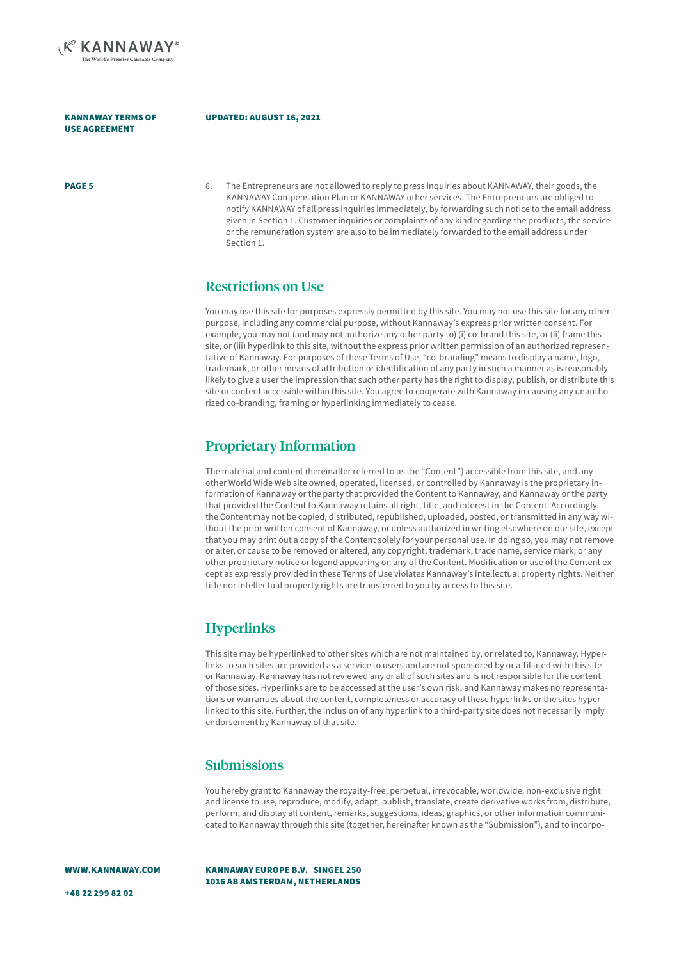

#### UPDATED: AUGUST 16, 2021

**PAGE 5** 8. The Entrepreneurs are not allowed to reply to press inquiries about KANNAWAY, their goods, the KANNAWAY Compensation Plan or KANNAWAY other services. The Entrepreneurs are obliged to notify KANNAWAY of all press inquiries immediately, by forwarding such notice to the email address given in Section 1. Customer inquiries or complaints of any kind regarding the products, the service or the remuneration system are also to be immediately forwarded to the email address under Section 1.

#### Restrictions on Use

You may use this site for purposes expressly permitted by this site. You may not use this site for any other purpose, including any commercial purpose, without Kannaway's express prior written consent. For example, you may not (and may not authorize any other party to) (i) co-brand this site, or (ii) frame this site, or (iii) hyperlink to this site, without the express prior written permission of an authorized representative of Kannaway. For purposes of these Terms of Use, "co-branding" means to display a name, logo, trademark, or other means of attribution or identification of any party in such a manner as is reasonably likely to give a user the impression that such other party has the right to display, publish, or distribute this site or content accessible within this site. You agree to cooperate with Kannaway in causing any unauthorized co-branding, framing or hyperlinking immediately to cease.

#### Proprietary Information

The material and content (hereinafter referred to as the "Content") accessible from this site, and any other World Wide Web site owned, operated, licensed, or controlled by Kannaway is the proprietary information of Kannaway or the party that provided the Content to Kannaway, and Kannaway or the party that provided the Content to Kannaway retains all right, title, and interest in the Content. Accordingly, the Content may not be copied, distributed, republished, uploaded, posted, or transmitted in any way without the prior written consent of Kannaway, or unless authorized in writing elsewhere on our site, except that you may print out a copy of the Content solely for your personal use. In doing so, you may not remove or alter, or cause to be removed or altered, any copyright, trademark, trade name, service mark, or any other proprietary notice or legend appearing on any of the Content. Modification or use of the Content except as expressly provided in these Terms of Use violates Kannaway's intellectual property rights. Neither title nor intellectual property rights are transferred to you by access to this site.

#### **Hyperlinks**

This site may be hyperlinked to other sites which are not maintained by, or related to, Kannaway. Hyperlinks to such sites are provided as a service to users and are not sponsored by or affiliated with this site or Kannaway. Kannaway has not reviewed any or all of such sites and is not responsible for the content of those sites. Hyperlinks are to be accessed at the user's own risk, and Kannaway makes no representations or warranties about the content, completeness or accuracy of these hyperlinks or the sites hyperlinked to this site. Further, the inclusion of any hyperlink to a third-party site does not necessarily imply endorsement by Kannaway of that site.

#### **Submissions**

You hereby grant to Kannaway the royalty-free, perpetual, irrevocable, worldwide, non-exclusive right and license to use, reproduce, modify, adapt, publish, translate, create derivative works from, distribute, perform, and display all content, remarks, suggestions, ideas, graphics, or other information communicated to Kannaway through this site (together, hereinafter known as the "Submission"), and to incorpo-

WWW.KANNAWAY.COM

KANNAWAY EUROPE B.V. SINGEL 250 1016 AB AMSTERDAM, NETHERLANDS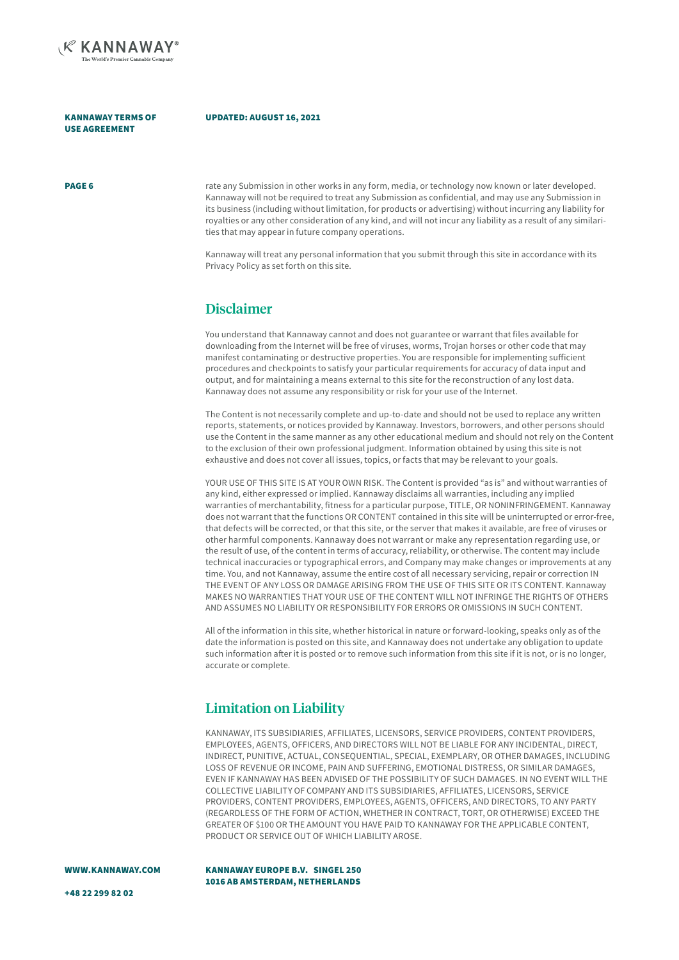

#### UPDATED: AUGUST 16, 2021

PAGE 6

rate any Submission in other works in any form, media, or technology now known or later developed. Kannaway will not be required to treat any Submission as confidential, and may use any Submission in its business (including without limitation, for products or advertising) without incurring any liability for royalties or any other consideration of any kind, and will not incur any liability as a result of any similarities that may appear in future company operations.

Kannaway will treat any personal information that you submit through this site in accordance with its Privacy Policy as set forth on this site.

#### Disclaimer

You understand that Kannaway cannot and does not guarantee or warrant that files available for downloading from the Internet will be free of viruses, worms, Trojan horses or other code that may manifest contaminating or destructive properties. You are responsible for implementing sufficient procedures and checkpoints to satisfy your particular requirements for accuracy of data input and output, and for maintaining a means external to this site for the reconstruction of any lost data. Kannaway does not assume any responsibility or risk for your use of the Internet.

The Content is not necessarily complete and up-to-date and should not be used to replace any written reports, statements, or notices provided by Kannaway. Investors, borrowers, and other persons should use the Content in the same manner as any other educational medium and should not rely on the Content to the exclusion of their own professional judgment. Information obtained by using this site is not exhaustive and does not cover all issues, topics, or facts that may be relevant to your goals.

YOUR USE OF THIS SITE IS AT YOUR OWN RISK. The Content is provided "as is" and without warranties of any kind, either expressed or implied. Kannaway disclaims all warranties, including any implied warranties of merchantability, fitness for a particular purpose, TITLE, OR NONINFRINGEMENT. Kannaway does not warrant that the functions OR CONTENT contained in this site will be uninterrupted or error-free, that defects will be corrected, or that this site, or the server that makes it available, are free of viruses or other harmful components. Kannaway does not warrant or make any representation regarding use, or the result of use, of the content in terms of accuracy, reliability, or otherwise. The content may include technical inaccuracies or typographical errors, and Company may make changes or improvements at any time. You, and not Kannaway, assume the entire cost of all necessary servicing, repair or correction IN THE EVENT OF ANY LOSS OR DAMAGE ARISING FROM THE USE OF THIS SITE OR ITS CONTENT. Kannaway MAKES NO WARRANTIES THAT YOUR USE OF THE CONTENT WILL NOT INFRINGE THE RIGHTS OF OTHERS AND ASSUMES NO LIABILITY OR RESPONSIBILITY FOR ERRORS OR OMISSIONS IN SUCH CONTENT.

All of the information in this site, whether historical in nature or forward-looking, speaks only as of the date the information is posted on this site, and Kannaway does not undertake any obligation to update such information after it is posted or to remove such information from this site if it is not, or is no longer, accurate or complete.

#### Limitation on Liability

KANNAWAY, ITS SUBSIDIARIES, AFFILIATES, LICENSORS, SERVICE PROVIDERS, CONTENT PROVIDERS, EMPLOYEES, AGENTS, OFFICERS, AND DIRECTORS WILL NOT BE LIABLE FOR ANY INCIDENTAL, DIRECT, INDIRECT, PUNITIVE, ACTUAL, CONSEQUENTIAL, SPECIAL, EXEMPLARY, OR OTHER DAMAGES, INCLUDING LOSS OF REVENUE OR INCOME, PAIN AND SUFFERING, EMOTIONAL DISTRESS, OR SIMILAR DAMAGES, EVEN IF KANNAWAY HAS BEEN ADVISED OF THE POSSIBILITY OF SUCH DAMAGES. IN NO EVENT WILL THE COLLECTIVE LIABILITY OF COMPANY AND ITS SUBSIDIARIES, AFFILIATES, LICENSORS, SERVICE PROVIDERS, CONTENT PROVIDERS, EMPLOYEES, AGENTS, OFFICERS, AND DIRECTORS, TO ANY PARTY (REGARDLESS OF THE FORM OF ACTION, WHETHER IN CONTRACT, TORT, OR OTHERWISE) EXCEED THE GREATER OF \$100 OR THE AMOUNT YOU HAVE PAID TO KANNAWAY FOR THE APPLICABLE CONTENT, PRODUCT OR SERVICE OUT OF WHICH LIABILITY AROSE.

WWW.KANNAWAY.COM

KANNAWAY EUROPE B.V. SINGEL 250 1016 AB AMSTERDAM, NETHERLANDS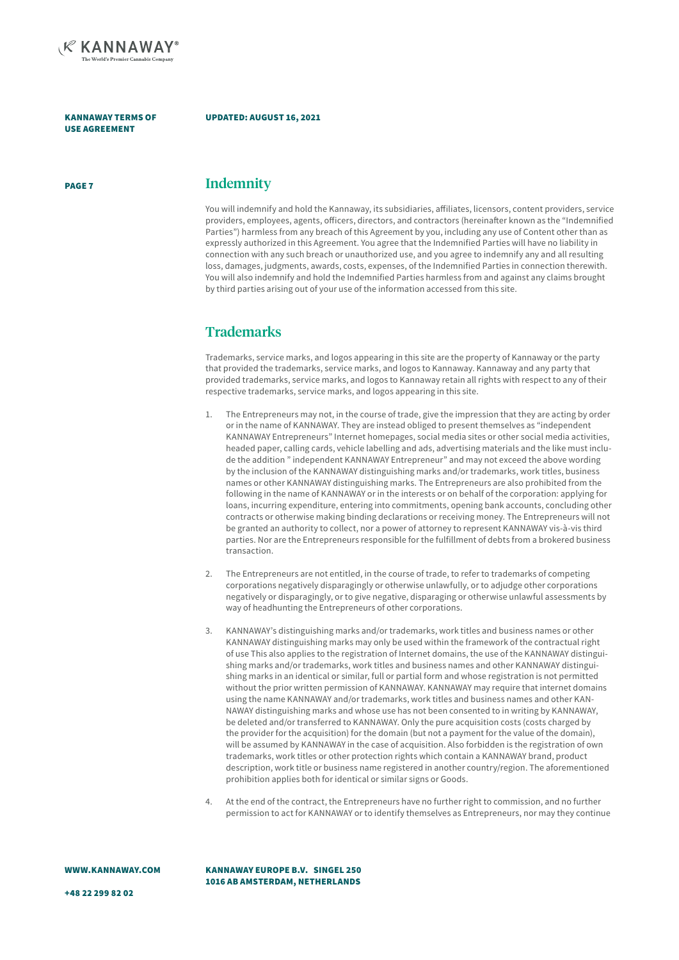

#### UPDATED: AUGUST 16, 2021

#### PAGE 7 **Indemnity**

You will indemnify and hold the Kannaway, its subsidiaries, affiliates, licensors, content providers, service providers, employees, agents, officers, directors, and contractors (hereinafter known as the "Indemnified Parties") harmless from any breach of this Agreement by you, including any use of Content other than as expressly authorized in this Agreement. You agree that the Indemnified Parties will have no liability in connection with any such breach or unauthorized use, and you agree to indemnify any and all resulting loss, damages, judgments, awards, costs, expenses, of the Indemnified Parties in connection therewith. You will also indemnify and hold the Indemnified Parties harmless from and against any claims brought by third parties arising out of your use of the information accessed from this site.

### **Trademarks**

Trademarks, service marks, and logos appearing in this site are the property of Kannaway or the party that provided the trademarks, service marks, and logos to Kannaway. Kannaway and any party that provided trademarks, service marks, and logos to Kannaway retain all rights with respect to any of their respective trademarks, service marks, and logos appearing in this site.

- 1. The Entrepreneurs may not, in the course of trade, give the impression that they are acting by order or in the name of KANNAWAY. They are instead obliged to present themselves as "independent KANNAWAY Entrepreneurs" Internet homepages, social media sites or other social media activities, headed paper, calling cards, vehicle labelling and ads, advertising materials and the like must include the addition " independent KANNAWAY Entrepreneur" and may not exceed the above wording by the inclusion of the KANNAWAY distinguishing marks and/or trademarks, work titles, business names or other KANNAWAY distinguishing marks. The Entrepreneurs are also prohibited from the following in the name of KANNAWAY or in the interests or on behalf of the corporation: applying for loans, incurring expenditure, entering into commitments, opening bank accounts, concluding other contracts or otherwise making binding declarations or receiving money. The Entrepreneurs will not be granted an authority to collect, nor a power of attorney to represent KANNAWAY vis-à-vis third parties. Nor are the Entrepreneurs responsible for the fulfillment of debts from a brokered business transaction.
- 2. The Entrepreneurs are not entitled, in the course of trade, to refer to trademarks of competing corporations negatively disparagingly or otherwise unlawfully, or to adjudge other corporations negatively or disparagingly, or to give negative, disparaging or otherwise unlawful assessments by way of headhunting the Entrepreneurs of other corporations.
- 3. KANNAWAY's distinguishing marks and/or trademarks, work titles and business names or other KANNAWAY distinguishing marks may only be used within the framework of the contractual right of use This also applies to the registration of Internet domains, the use of the KANNAWAY distinguishing marks and/or trademarks, work titles and business names and other KANNAWAY distinguishing marks in an identical or similar, full or partial form and whose registration is not permitted without the prior written permission of KANNAWAY. KANNAWAY may require that internet domains using the name KANNAWAY and/or trademarks, work titles and business names and other KAN-NAWAY distinguishing marks and whose use has not been consented to in writing by KANNAWAY, be deleted and/or transferred to KANNAWAY. Only the pure acquisition costs (costs charged by the provider for the acquisition) for the domain (but not a payment for the value of the domain), will be assumed by KANNAWAY in the case of acquisition. Also forbidden is the registration of own trademarks, work titles or other protection rights which contain a KANNAWAY brand, product description, work title or business name registered in another country/region. The aforementioned prohibition applies both for identical or similar signs or Goods.
- 4. At the end of the contract, the Entrepreneurs have no further right to commission, and no further permission to act for KANNAWAY or to identify themselves as Entrepreneurs, nor may they continue

WWW.KANNAWAY.COM

KANNAWAY EUROPE B.V. SINGEL 250 1016 AB AMSTERDAM, NETHERLANDS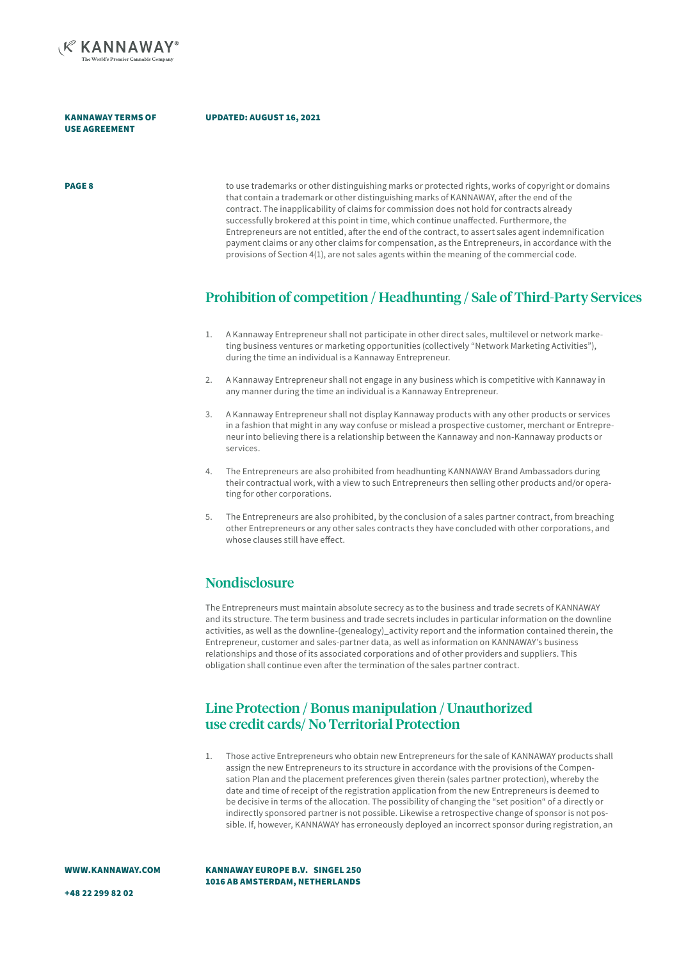

#### UPDATED: AUGUST 16, 2021

**PAGE 8** to use trademarks or other distinguishing marks or protected rights, works of copyright or domains that contain a trademark or other distinguishing marks of KANNAWAY, after the end of the contract. The inapplicability of claims for commission does not hold for contracts already successfully brokered at this point in time, which continue unaffected. Furthermore, the Entrepreneurs are not entitled, after the end of the contract, to assert sales agent indemnification payment claims or any other claims for compensation, as the Entrepreneurs, in accordance with the provisions of Section 4(1), are not sales agents within the meaning of the commercial code.

#### Prohibition of competition / Headhunting / Sale of Third-Party Services

- 1. A Kannaway Entrepreneur shall not participate in other direct sales, multilevel or network marketing business ventures or marketing opportunities (collectively "Network Marketing Activities"), during the time an individual is a Kannaway Entrepreneur.
- 2. A Kannaway Entrepreneur shall not engage in any business which is competitive with Kannaway in any manner during the time an individual is a Kannaway Entrepreneur.
- 3. A Kannaway Entrepreneur shall not display Kannaway products with any other products or services in a fashion that might in any way confuse or mislead a prospective customer, merchant or Entrepreneur into believing there is a relationship between the Kannaway and non-Kannaway products or services.
- 4. The Entrepreneurs are also prohibited from headhunting KANNAWAY Brand Ambassadors during their contractual work, with a view to such Entrepreneurs then selling other products and/or operating for other corporations.
- 5. The Entrepreneurs are also prohibited, by the conclusion of a sales partner contract, from breaching other Entrepreneurs or any other sales contracts they have concluded with other corporations, and whose clauses still have effect.

#### **Nondisclosure**

The Entrepreneurs must maintain absolute secrecy as to the business and trade secrets of KANNAWAY and its structure. The term business and trade secrets includes in particular information on the downline activities, as well as the downline-(genealogy)\_activity report and the information contained therein, the Entrepreneur, customer and sales-partner data, as well as information on KANNAWAY's business relationships and those of its associated corporations and of other providers and suppliers. This obligation shall continue even after the termination of the sales partner contract.

#### Line Protection / Bonus manipulation / Unauthorized use credit cards/ No Territorial Protection

1. Those active Entrepreneurs who obtain new Entrepreneurs for the sale of KANNAWAY products shall assign the new Entrepreneurs to its structure in accordance with the provisions of the Compensation Plan and the placement preferences given therein (sales partner protection), whereby the date and time of receipt of the registration application from the new Entrepreneurs is deemed to be decisive in terms of the allocation. The possibility of changing the "set position" of a directly or indirectly sponsored partner is not possible. Likewise a retrospective change of sponsor is not possible. If, however, KANNAWAY has erroneously deployed an incorrect sponsor during registration, an

WWW.KANNAWAY.COM

KANNAWAY EUROPE B.V. SINGEL 250 1016 AB AMSTERDAM, NETHERLANDS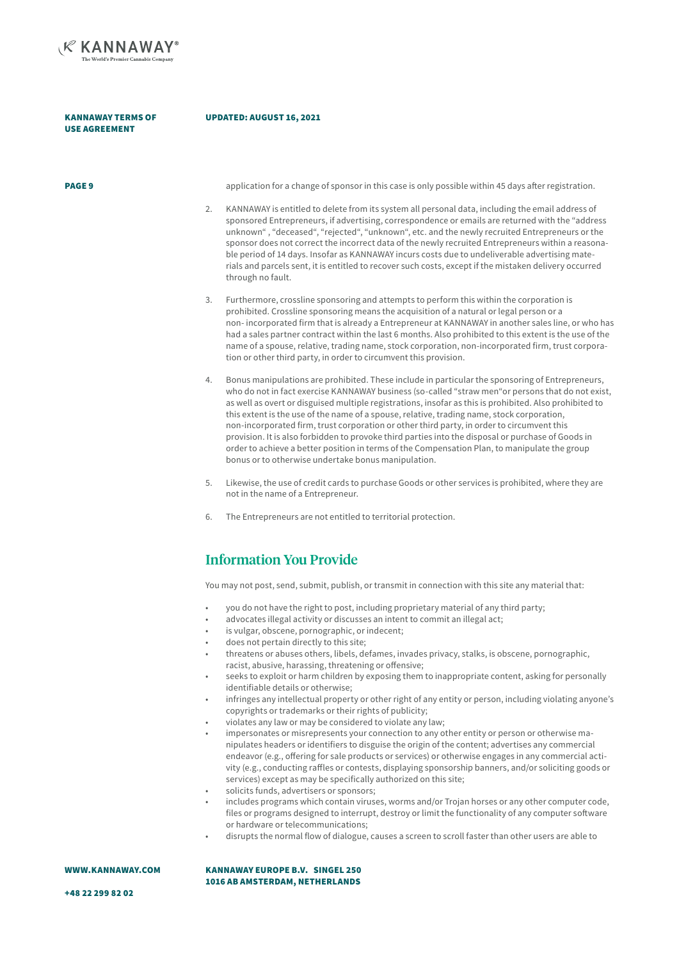

#### UPDATED: AUGUST 16, 2021

**PAGE 9** application for a change of sponsor in this case is only possible within 45 days after registration.

- 2. KANNAWAY is entitled to delete from its system all personal data, including the email address of sponsored Entrepreneurs, if advertising, correspondence or emails are returned with the "address unknown" , "deceased", "rejected", "unknown", etc. and the newly recruited Entrepreneurs or the sponsor does not correct the incorrect data of the newly recruited Entrepreneurs within a reasonable period of 14 days. Insofar as KANNAWAY incurs costs due to undeliverable advertising materials and parcels sent, it is entitled to recover such costs, except if the mistaken delivery occurred through no fault.
- 3. Furthermore, crossline sponsoring and attempts to perform this within the corporation is prohibited. Crossline sponsoring means the acquisition of a natural or legal person or a non- incorporated firm that is already a Entrepreneur at KANNAWAY in another sales line, or who has had a sales partner contract within the last 6 months. Also prohibited to this extent is the use of the name of a spouse, relative, trading name, stock corporation, non-incorporated firm, trust corporation or other third party, in order to circumvent this provision.
- 4. Bonus manipulations are prohibited. These include in particular the sponsoring of Entrepreneurs, who do not in fact exercise KANNAWAY business (so-called "straw men"or persons that do not exist, as well as overt or disguised multiple registrations, insofar as this is prohibited. Also prohibited to this extent is the use of the name of a spouse, relative, trading name, stock corporation, non-incorporated firm, trust corporation or other third party, in order to circumvent this provision. It is also forbidden to provoke third parties into the disposal or purchase of Goods in order to achieve a better position in terms of the Compensation Plan, to manipulate the group bonus or to otherwise undertake bonus manipulation.
- 5. Likewise, the use of credit cards to purchase Goods or other services is prohibited, where they are not in the name of a Entrepreneur.
- 6. The Entrepreneurs are not entitled to territorial protection.

#### Information You Provide

You may not post, send, submit, publish, or transmit in connection with this site any material that:

- you do not have the right to post, including proprietary material of any third party;
- advocates illegal activity or discusses an intent to commit an illegal act;
- is vulgar, obscene, pornographic, or indecent;
- does not pertain directly to this site;
- threatens or abuses others, libels, defames, invades privacy, stalks, is obscene, pornographic, racist, abusive, harassing, threatening or offensive;
- seeks to exploit or harm children by exposing them to inappropriate content, asking for personally identifiable details or otherwise;
- infringes any intellectual property or other right of any entity or person, including violating anyone's copyrights or trademarks or their rights of publicity;
- violates any law or may be considered to violate any law;
- impersonates or misrepresents your connection to any other entity or person or otherwise manipulates headers or identifiers to disguise the origin of the content; advertises any commercial endeavor (e.g., offering for sale products or services) or otherwise engages in any commercial activity (e.g., conducting raffles or contests, displaying sponsorship banners, and/or soliciting goods or services) except as may be specifically authorized on this site;
- solicits funds, advertisers or sponsors;
- includes programs which contain viruses, worms and/or Trojan horses or any other computer code, files or programs designed to interrupt, destroy or limit the functionality of any computer software or hardware or telecommunications;
- disrupts the normal flow of dialogue, causes a screen to scroll faster than other users are able to

WWW.KANNAWAY.COM

KANNAWAY EUROPE B.V. SINGEL 250 1016 AB AMSTERDAM, NETHERLANDS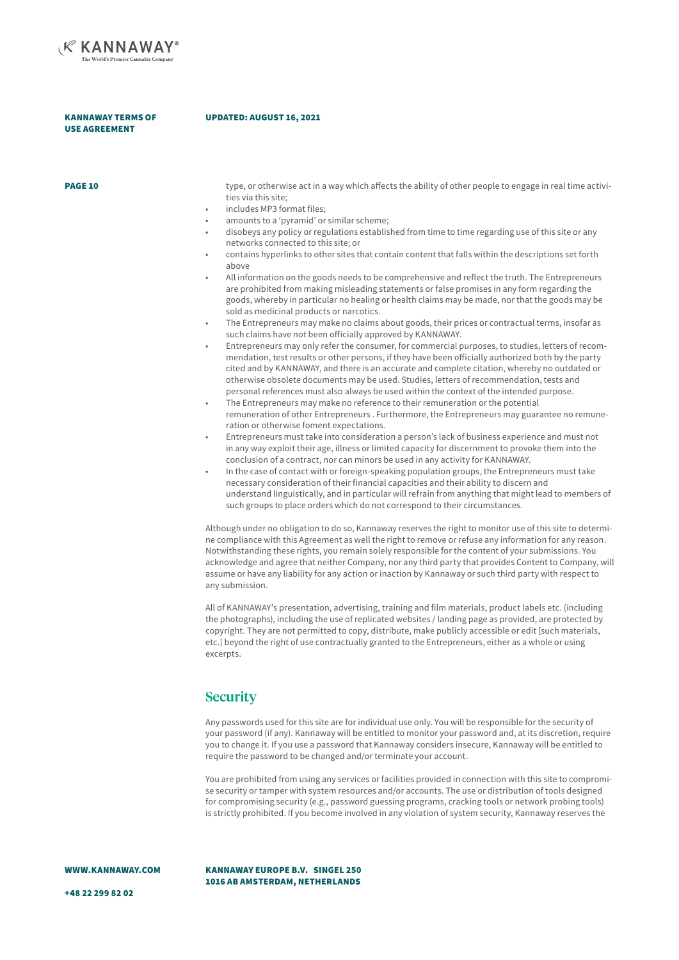

#### UPDATED: AUGUST 16, 2021

| <b>PAGE 10</b> | type, or otherwise act in a way which affects the ability of other people to engage in real time activi-                                  |
|----------------|-------------------------------------------------------------------------------------------------------------------------------------------|
|                | ties via this site;                                                                                                                       |
|                | includes MP3 format files;                                                                                                                |
|                | amounts to a 'pyramid' or similar scheme;                                                                                                 |
|                | disobeys any policy or regulations established from time to time regarding use of this site or any<br>networks connected to this site; or |
|                | contains hyperlinks to other sites that contain content that falls within the descriptions set forth<br>above                             |
|                | All information on the goods needs to be comprehensive and reflect the truth. The Entrepreneurs                                           |

- All information on the goods needs to be comprehensive and reflect the truth. The Entrepreneurs are prohibited from making misleading statements or false promises in any form regarding the goods, whereby in particular no healing or health claims may be made, nor that the goods may be sold as medicinal products or narcotics.
- The Entrepreneurs may make no claims about goods, their prices or contractual terms, insofar as such claims have not been officially approved by KANNAWAY.
- Entrepreneurs may only refer the consumer, for commercial purposes, to studies, letters of recommendation, test results or other persons, if they have been officially authorized both by the party cited and by KANNAWAY, and there is an accurate and complete citation, whereby no outdated or otherwise obsolete documents may be used. Studies, letters of recommendation, tests and personal references must also always be used within the context of the intended purpose.
- The Entrepreneurs may make no reference to their remuneration or the potential remuneration of other Entrepreneurs . Furthermore, the Entrepreneurs may guarantee no remuneration or otherwise foment expectations.
- Entrepreneurs must take into consideration a person's lack of business experience and must not in any way exploit their age, illness or limited capacity for discernment to provoke them into the conclusion of a contract, nor can minors be used in any activity for KANNAWAY.
- In the case of contact with or foreign-speaking population groups, the Entrepreneurs must take necessary consideration of their financial capacities and their ability to discern and understand linguistically, and in particular will refrain from anything that might lead to members of such groups to place orders which do not correspond to their circumstances.

Although under no obligation to do so, Kannaway reserves the right to monitor use of this site to determine compliance with this Agreement as well the right to remove or refuse any information for any reason. Notwithstanding these rights, you remain solely responsible for the content of your submissions. You acknowledge and agree that neither Company, nor any third party that provides Content to Company, will assume or have any liability for any action or inaction by Kannaway or such third party with respect to any submission.

All of KANNAWAY's presentation, advertising, training and film materials, product labels etc. (including the photographs), including the use of replicated websites / landing page as provided, are protected by copyright. They are not permitted to copy, distribute, make publicly accessible or edit [such materials, etc.] beyond the right of use contractually granted to the Entrepreneurs, either as a whole or using excerpts.

#### **Security**

Any passwords used for this site are for individual use only. You will be responsible for the security of your password (if any). Kannaway will be entitled to monitor your password and, at its discretion, require you to change it. If you use a password that Kannaway considers insecure, Kannaway will be entitled to require the password to be changed and/or terminate your account.

You are prohibited from using any services or facilities provided in connection with this site to compromise security or tamper with system resources and/or accounts. The use or distribution of tools designed for compromising security (e.g., password guessing programs, cracking tools or network probing tools) is strictly prohibited. If you become involved in any violation of system security, Kannaway reserves the

WWW.KANNAWAY.COM

KANNAWAY EUROPE B.V. SINGEL 250 1016 AB AMSTERDAM, NETHERLANDS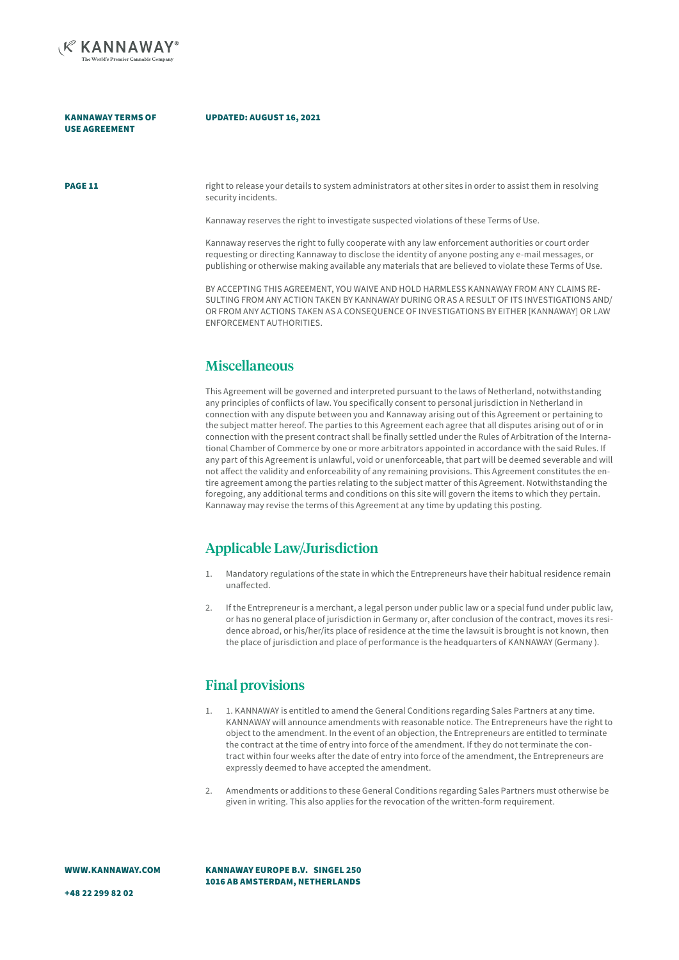

#### UPDATED: AUGUST 16, 2021

**PAGE 11 right to release your details to system administrators at other sites in order to assist them in resolving** security incidents.

Kannaway reserves the right to investigate suspected violations of these Terms of Use.

Kannaway reserves the right to fully cooperate with any law enforcement authorities or court order requesting or directing Kannaway to disclose the identity of anyone posting any e-mail messages, or publishing or otherwise making available any materials that are believed to violate these Terms of Use.

BY ACCEPTING THIS AGREEMENT, YOU WAIVE AND HOLD HARMLESS KANNAWAY FROM ANY CLAIMS RE-SULTING FROM ANY ACTION TAKEN BY KANNAWAY DURING OR AS A RESULT OF ITS INVESTIGATIONS AND/ OR FROM ANY ACTIONS TAKEN AS A CONSEQUENCE OF INVESTIGATIONS BY EITHER [KANNAWAY] OR LAW ENFORCEMENT AUTHORITIES.

#### **Miscellaneous**

This Agreement will be governed and interpreted pursuant to the laws of Netherland, notwithstanding any principles of conflicts of law. You specifically consent to personal jurisdiction in Netherland in connection with any dispute between you and Kannaway arising out of this Agreement or pertaining to the subject matter hereof. The parties to this Agreement each agree that all disputes arising out of or in connection with the present contract shall be finally settled under the Rules of Arbitration of the International Chamber of Commerce by one or more arbitrators appointed in accordance with the said Rules. If any part of this Agreement is unlawful, void or unenforceable, that part will be deemed severable and will not affect the validity and enforceability of any remaining provisions. This Agreement constitutes the entire agreement among the parties relating to the subject matter of this Agreement. Notwithstanding the foregoing, any additional terms and conditions on this site will govern the items to which they pertain. Kannaway may revise the terms of this Agreement at any time by updating this posting.

#### Applicable Law/Jurisdiction

- 1. Mandatory regulations of the state in which the Entrepreneurs have their habitual residence remain unaffected.
- 2. If the Entrepreneur is a merchant, a legal person under public law or a special fund under public law, or has no general place of jurisdiction in Germany or, after conclusion of the contract, moves its residence abroad, or his/her/its place of residence at the time the lawsuit is brought is not known, then the place of jurisdiction and place of performance is the headquarters of KANNAWAY (Germany ).

#### Final provisions

- 1. 1. KANNAWAY is entitled to amend the General Conditions regarding Sales Partners at any time. KANNAWAY will announce amendments with reasonable notice. The Entrepreneurs have the right to object to the amendment. In the event of an objection, the Entrepreneurs are entitled to terminate the contract at the time of entry into force of the amendment. If they do not terminate the contract within four weeks after the date of entry into force of the amendment, the Entrepreneurs are expressly deemed to have accepted the amendment.
- 2. Amendments or additions to these General Conditions regarding Sales Partners must otherwise be given in writing. This also applies for the revocation of the written-form requirement.

WWW.KANNAWAY.COM

KANNAWAY EUROPE B.V. SINGEL 250 1016 AB AMSTERDAM, NETHERLANDS